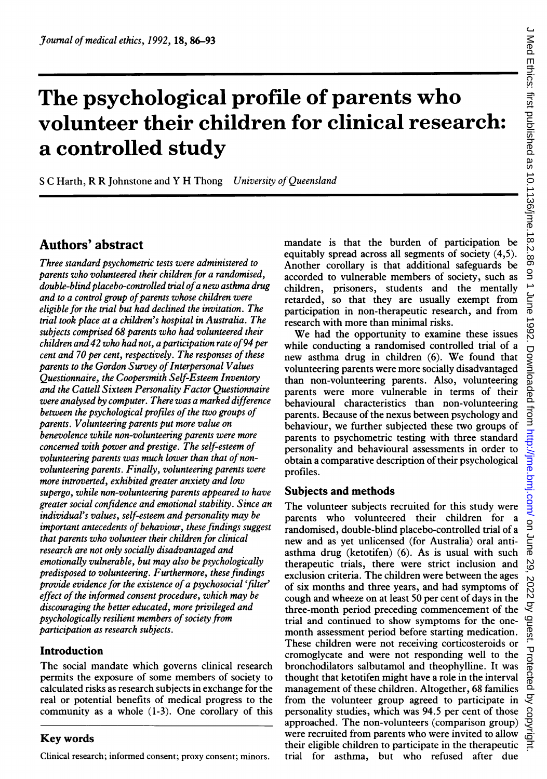## The psychological profile of parents who volunteer their children for clinical research: a controlled study

S C Harth, R R Johnstone and Y H Thong University of Queensland

### Authors' abstract

Three standard psychometric tests were administered to parents who volunteered their children for a randomised, double-blind placebo-controlled trial ofa new asthma drug and to a control group of parents whose children were eligible for the trial but had declined the invitation. The trial took place at a children's hospital in Australia. The subjects comprised 68 parents who had volunteered their children and42 who had not, a participation rate of94 per cent and 70 per cent, respectively. The responses of these parents to the Gordon Survey of Interpersonal Values Questionnaire, the Coopersmith Self-Esteem Inventory and the Cattell Sixteen Personality Factor Questionnaire were analysed by computer. There was a marked difference between the psychological profiles of the two groups of parents. Volunteering parents put more value on benevolence while non-volunteering parents were more concerned with power and prestige. The self-esteem of volunteering parents was much lower than that of nonvolunteering parents. Finally, volunteering parents were more introverted, exhibited greater anxiety and low supergo, while non-volunteering parents appeared to have greater social confidence and emotional stability. Since an individual's values, self-esteem and personality may be important antecedents of behaviour, these findings suggest that parents who volunteer their children for clinical research are not only socially disadvantaged and emotionally vulnerable, but may also be psychologically predisposed to volunteering. Furthermore, these findings provide evidence for the existence of a psychosocial 'filter' effect of the informed consent procedure, which may be discouraging the better educated, more privileged and psychologically resilient members of society from participation as research subjects.

#### Introduction

The social mandate which governs clinical research permits the exposure of some members of society to calculated risks as research subjects in exchange for the real or potential benefits of medical progress to the community as <sup>a</sup> whole (1-3). One corollary of this

#### Key words

Clinical research; informed consent; proxy consent; minors.

mandate is that the burden of participation be equitably spread across all segments of society (4,5). Another corollary is that additional safeguards be accorded to vulnerable members of society, such as children, prisoners, students and the mentally retarded, so that they are usually exempt from participation in non-therapeutic research, and from research with more than minimal risks.

We had the opportunity to examine these issues while conducting a randomised controlled trial of a new asthma drug in children (6). We found that volunteering parents were more socially disadvantaged than non-volunteering parents. Also, volunteering parents were more vulnerable in terms of their behavioural characteristics than non-volunteering parents. Because of the nexus between psychology and behaviour, we further subjected these two groups of parents to psychometric testing with three standard personality and behavioural assessments in order to obtain a comparative description of their psychological profiles.

#### Subjects and methods

The volunteer subjects recruited for this study were parents who volunteered their children for <sup>a</sup> randomised, double-blind placebo-controlled trial of a new and as yet unlicensed (for Australia) oral antiasthma drug (ketotifen) (6). As is usual with such therapeutic trials, there were strict inclusion and exclusion criteria. The children were between the ages of six months and three years, and had symptoms of cough and wheeze on at least <sup>50</sup> per cent of days in the three-month period preceding commencement of the trial and continued to show symptoms for the onemonth assessment period before starting medication. These children were not receiving corticosteroids or cromoglycate and were not responding well to the bronchodilators salbutamol and theophylline. It was thought that ketotifen might have a role in the interval management of these children. Altogether, 68 families from the volunteer group agreed to participate in personality studies, which was 94.5 per cent of those approached. The non-volunteers (comparison group) were recruited from parents who were invited to allow their eligible children to participate in the therapeutic trial for asthma, but who refused after due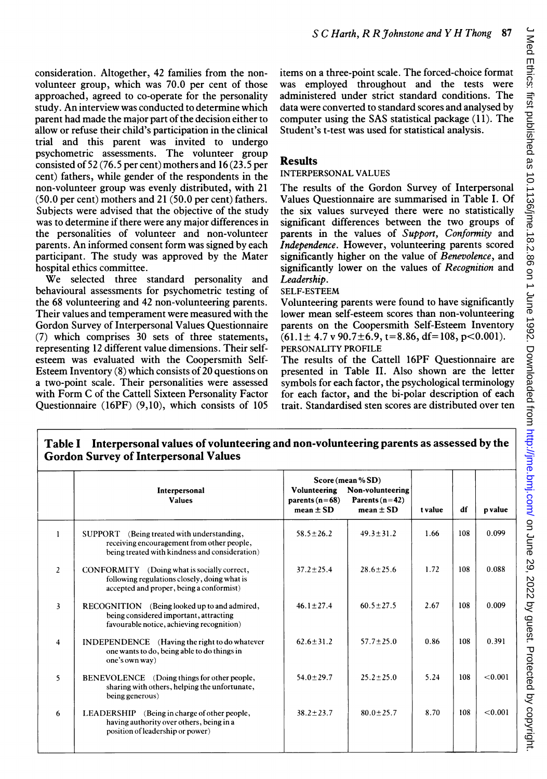consideration. Altogether, 42 families from the nonvolunteer group, which was 70.0 per cent of those approached, agreed to co-operate for the personality study. An interview was conducted to determine which parent had made the major part of the decision either to allow or refuse their child's participation in the clinical trial and this parent was invited to undergo psychometric assessments. The volunteer group consisted of 52 (76.5 per cent) mothers and 16 (23.5 per cent) fathers, while gender of the respondents in the non-volunteer group was evenly distributed, with 21 (50.0 per cent) mothers and 21 (50.0 per cent) fathers. Subjects were advised that the objective of the study was to determine if there were any major differences in the personalities of volunteer and non-volunteer parents. An informed consent form was signed by each participant. The study was approved by the Mater hospital ethics committee.

We selected three standard personality and behavioural assessments for psychometric testing of the 68 volunteering and 42 non-volunteering parents. Their values and temperament were measured with the Gordon Survey of Interpersonal Values Questionnaire (7) which comprises 30 sets of three statements, representing 12 different value dimensions. Their selfesteem was evaluated with the Coopersmith Self-Esteem Inventory (8) which consists of 20 questions on a two-point scale. Their personalities were assessed with Form C of the Cattell Sixteen Personality Factor Questionnaire (16PF) (9,10), which consists of 105

items on a three-point scale. The forced-choice format was employed throughout and the tests were administered under strict standard conditions. The data were converted to standard scores and analysed by computer using the SAS statistical package (11). The Student's t-test was used for statistical analysis.

### Results

#### INTERPERSONAL VALUES

The results of the Gordon Survey of Interpersonal Values Questionnaire are summarised in Table I. Of the six values surveyed there were no statistically significant differences between the two groups of parents in the values of Support, Conformity and Independence. However, volunteering parents scored significantly higher on the value of Benevolence, and significantly lower on the values of Recognition and Leadership.

#### SELF-ESTEEM

Volunteering parents were found to have significantly lower mean self-esteem scores than non-volunteering parents on the Coopersmith Self-Esteem Inventory  $(61.1 \pm 4.7 \text{ v } 90.7 \pm 6.9, t = 8.86, df = 108, p < 0.001).$ PERSONALITY PROFILE

The results of the Cattell 16PF Questionnaire are presented in Table II. Also shown are the letter symbols for each factor, the psychological terminology for each factor, and the bi-polar description of each trait. Standardised sten scores are distributed over ten

| <b>Gordon Survey of Interpersonal Values</b> |                                                                                                                                            |                                                   |                                                                            |         |     |         |  |
|----------------------------------------------|--------------------------------------------------------------------------------------------------------------------------------------------|---------------------------------------------------|----------------------------------------------------------------------------|---------|-----|---------|--|
|                                              | Interpersonal<br><b>Values</b>                                                                                                             | Volunteering<br>parents $(n=68)$<br>$mean \pm SD$ | Score (mean % SD)<br>Non-volunteering<br>Parents $(n=42)$<br>$mean \pm SD$ | t value | df  | p value |  |
|                                              | SUPPORT (Being treated with understanding,<br>receiving encouragement from other people,<br>being treated with kindness and consideration) | $58.5 \pm 26.2$                                   | $49.3 \pm 31.2$                                                            | 1.66    | 108 | 0.099   |  |
| $\overline{2}$                               | CONFORMITY (Doing what is socially correct,<br>following regulations closely, doing what is<br>accepted and proper, being a conformist)    | $37.2 + 25.4$                                     | $28.6 + 25.6$                                                              | 1.72    | 108 | 0.088   |  |
| $\overline{\mathbf{3}}$                      | RECOGNITION (Being looked up to and admired,<br>being considered important, attracting<br>favourable notice, achieving recognition)        | $46.1 \pm 27.4$                                   | $60.5 + 27.5$                                                              | 2.67    | 108 | 0.009   |  |
| 4                                            | INDEPENDENCE (Having the right to do whatever<br>one wants to do, being able to do things in<br>one's own way)                             | $62.6 \pm 31.2$                                   | $57.7 \pm 25.0$                                                            | 0.86    | 108 | 0.391   |  |
| 5                                            | BENEVOLENCE (Doing things for other people,<br>sharing with others, helping the unfortunate,<br>being generous)                            | $54.0 + 29.7$                                     | $25.2 + 25.0$                                                              | 5.24    | 108 | < 0.001 |  |
| 6                                            | LEADERSHIP (Being in charge of other people,<br>having authority over others, being in a<br>position of leadership or power)               | $38.2 + 23.7$                                     | $80.0 \pm 25.7$                                                            | 8.70    | 108 | < 0.001 |  |
|                                              |                                                                                                                                            |                                                   |                                                                            |         |     |         |  |

# Table <sup>I</sup> Interpersonal values of volunteering and non-volunteering parents as assessed by the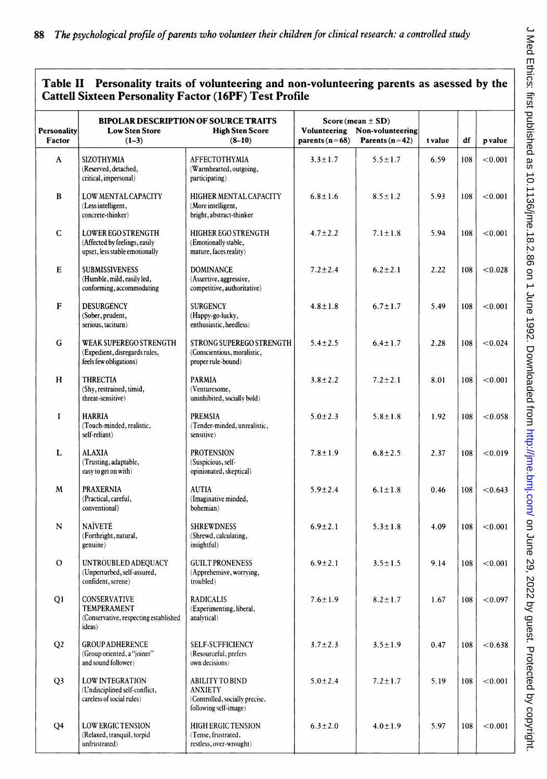| Table II Personality traits of volunteering and non-volunteering parents as asessed by the |  |
|--------------------------------------------------------------------------------------------|--|
| <b>Cattell Sixteen Personality Factor (16PF) Test Profile</b>                              |  |

|                       | <b>BIPOLAR DESCRIPTION OF SOURCE TRAITS</b>                                                  |                                                                                                     | Score (mean $\pm$ SD)                                                    |               |         |     |         |
|-----------------------|----------------------------------------------------------------------------------------------|-----------------------------------------------------------------------------------------------------|--------------------------------------------------------------------------|---------------|---------|-----|---------|
| Personality<br>Factor | <b>Low Sten Store</b><br><b>High Sten Score</b><br>$(8-10)$<br>$(1-3)$                       |                                                                                                     | Non-volunteering<br>Volunteering<br>Parents $(n=42)$<br>parents $(n=68)$ |               | t value | df  | p value |
| A                     | <b>SIZOTHYMIA</b><br>(Reserved, detached,<br>critical, impersonal)                           | AFFECTOTHYMIA<br>(Warmhearted, outgoing,<br>participating)                                          | $3.3 \pm 1.7$                                                            | $5.5 \pm 1.7$ | 6.59    | 108 | < 0.001 |
| $\, {\bf B}$          | LOW MENTAL CAPACITY<br>(Less intelligent,<br>concrete-thinker)                               | HIGHER MENTAL CAPACITY<br>(More intelligent,<br>bright, abstract-thinker                            | $6.8 \pm 1.6$                                                            | $8.5 \pm 1.2$ | 5.93    | 108 | < 0.001 |
| $\mathbf C$           | <b>LOWER EGO STRENGTH</b><br>(Affected by feelings, easily<br>upset, less stable emotionally | <b>HIGHER EGO STRENGTH</b><br>(Emotionally stable,<br>mature, faces reality)                        | $4.7 \pm 2.2$                                                            | $7.1 \pm 1.8$ | 5.94    | 108 | < 0.001 |
| E                     | <b>SUBMISSIVENESS</b><br>(Humble, mild, easily led,<br>conforming, accommodating             | <b>DOMINANCE</b><br>(Assertive, aggressive,<br>competitive, authoritative)                          | $7.2 \pm 2.4$                                                            | $6.2 \pm 2.1$ | 2.22    | 108 | < 0.028 |
| F                     | <b>DESURGENCY</b><br>(Sober, prudent,<br>serious, taciturn)                                  | <b>SURGENCY</b><br>(Happy-go-lucky,<br>enthusiastic, heedless)                                      | $4.8 \pm 1.8$                                                            | $6.7 \pm 1.7$ | 5.49    | 108 | < 0.001 |
| G                     | WEAK SUPEREGO STRENGTH<br>(Expedient, disregards rules,<br>feels few obligations)            | STRONG SUPEREGO STRENGTH<br>(Conscientious, moralistic,<br>proper rule-bound)                       | $5.4 \pm 2.5$                                                            | $6.4 \pm 1.7$ | 2.28    | 108 | < 0.024 |
| H                     | <b>THRECTIA</b><br>(Shy, restrained, timid,<br>threat-sensitive)                             | PARMIA<br>(Venturesome,<br>uninhibited, socially bold)                                              | $3.8 \pm 2.2$                                                            | $7.2 \pm 2.1$ | 8.01    | 108 | < 0.001 |
| $\mathbf I$           | <b>HARRIA</b><br>(Touch-minded, realistic,<br>self-reliant)                                  | <b>PREMSIA</b><br>(Tender-minded, unrealistic,<br>sensitive)                                        | $5.0 \pm 2.3$                                                            | $5.8 \pm 1.8$ | 1.92    | 108 | < 0.058 |
| L                     | <b>ALAXIA</b><br>(Trusting, adaptable,<br>easy to get on with)                               | <b>PROTENSION</b><br>(Suspicious, self-<br>opinionated, skeptical)                                  | $7.8 \pm 1.9$                                                            | $6.8 \pm 2.5$ | 2.37    | 108 | < 0.019 |
| M                     | <b>PRAXERNIA</b><br>(Practical, careful,<br>conventional)                                    | <b>AUTIA</b><br>(Imaginative minded,<br>bohemian)                                                   | $5.9 \pm 2.4$                                                            | $6.1 \pm 1.8$ | 0.46    | 108 | < 0.643 |
| N                     | <b>NAÏVETÉ</b><br>(Forthright, natural,<br>genuine)                                          | <b>SHREWDNESS</b><br>(Shrewd, calculating,<br>insightful)                                           | $6.9 \pm 2.1$                                                            | $5.3 \pm 1.8$ | 4.09    | 108 | < 0.001 |
| $\Omega$              | UNTROUBLED ADEQUACY<br>(Unperturbed, self-assured,<br>confident, serene)                     | <b>GUILT PRONENESS</b><br>(Apprehensive, worrving,<br>troubled)                                     | $6.9 \pm 2.1$                                                            | $3.5 \pm 1.5$ | 9.14    | 108 | < 0.001 |
| Ql                    | CONSERVATIVE<br>TEMPERAMENT<br>(Conservative, respecting established)<br>ideas)              | <b>RADICALIS</b><br>(Experimenting, liberal,<br>analytical)                                         | $7.6 \pm 1.9$                                                            | $8.2 \pm 1.7$ | 1.67    | 108 | < 0.097 |
| Q2                    | <b>GROUP ADHERENCE</b><br>(Group oriented, a "joiner"<br>and sound follower)                 | <b>SELF-SUFFICIENCY</b><br>(Resourceful, prefers<br>own decisions)                                  | $3.7 \pm 2.3$                                                            | $3.5 \pm 1.9$ | 0.47    | 108 | < 0.638 |
| Q <sub>3</sub>        | LOW INTEGRATION<br>(Undisciplined self-conflict,<br>careless of social rules)                | <b>ABILITY TO BIND</b><br><b>ANXIETY</b><br>(Controlled, socially precise,<br>following self-image) | $5.0 \pm 2.4$                                                            | $7.2 \pm 1.7$ | 5.19    | 108 | < 0.001 |
| Q4                    | <b>LOW ERGIC TENSION</b><br>(Relaxed, tranquil, torpid<br>unfrustrated)                      | <b>HIGH ERGIC TENSION</b><br>(Tense, frustrated,<br>restless, over-wrought)                         | $6.3 \pm 2.0$                                                            | $4.0 \pm 1.9$ | 5.97    | 108 | < 0.001 |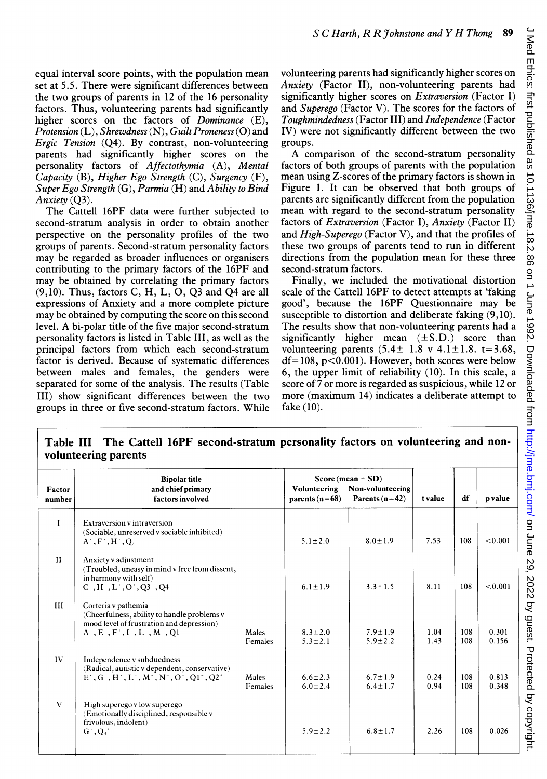equal interval score points, with the population mean set at 5.5. There were significant differences between the two groups of parents in 12 of the 16 personality factors. Thus, volunteering parents had significantly higher scores on the factors of *Dominance* (E), Protension  $(L)$ , Shrewdness  $(N)$ , Guilt Proneness  $(O)$  and Ergic Tension (Q4). By contrast, non-volunteering parents had significantly higher scores on the personality factors of Affectothymia (A), Mental Capacity (B), Higher Ego Strength (C), Surgency (F), Super Ego Strength (G), Parmia (H) and Ability to Bind Anxiety (Q3).

The Cattell 16PF data were further subjected to second-stratum analysis in order to obtain another perspective on the personality profiles of the two groups of parents. Second-stratum personality factors may be regarded as broader influences or organisers contributing to the primary factors of the 16PF and may be obtained by correlating the primary factors (9,10). Thus, factors C, H, L, 0, Q3 and Q4 are all expressions of Anxiety and a more complete picture may be obtained by computing the score on this second level. A bi-polar title of the five major second-stratum personality factors is listed in Table III, as well as the principal factors from which each second-stratum factor is derived. Because of systematic differences between males and females, the genders were separated for some of the analysis. The results (Table III) show significant differences between the two groups in three or five second-stratum factors. While volunteering parents had significantly higher scores on Anxiety (Factor II), non-volunteering parents had significantly higher scores on Extraversion (Factor I) and Superego (Factor V). The scores for the factors of Toughmindedness (Factor III) and Independence (Factor IV) were not significantly different between the two groups.

A comparison of the second-stratum personality factors of both groups of parents with the population mean using Z-scores of the primary factors is shown in Figure 1. It can be observed that both groups of parents are significantly different from the population mean with regard to the second-stratum personality factors of Extraversion (Factor I), Anxiety (Factor II) and High-Superego (Factor V), and that the profiles of these two groups of parents tend to run in different directions from the population mean for these three second-stratum factors.

Finally, we included the motivational distortion scale of the Cattell 16PF to detect attempts at 'faking good', because the 16PF Questionnaire may be susceptible to distortion and deliberate faking  $(9,10)$ . The results show that non-volunteering parents had <sup>a</sup> significantly higher mean  $(\pm S.D.)$  score than volunteering parents  $(5.4 \pm 1.8 \text{ v } 4.1 \pm 1.8 \text{ t} = 3.68,$  $df = 108$ ,  $p < 0.001$ ). However, both scores were below 6, the upper limit of reliability (10). In this scale, a score of 7 or more is regarded as suspicious, while 12 or more (maximum 14) indicates <sup>a</sup> deliberate attempt to fake (10).

| volunteering parents |                                                                                                                                                                   |                         |                                                                                                   |                              |              |            |                |
|----------------------|-------------------------------------------------------------------------------------------------------------------------------------------------------------------|-------------------------|---------------------------------------------------------------------------------------------------|------------------------------|--------------|------------|----------------|
| Factor<br>number     | <b>Bipolar title</b><br>and chief primary<br>factors involved                                                                                                     |                         | Score (mean $\pm$ SD)<br>Volunteering<br>Non-volunteering<br>parents $(n=68)$<br>Parents $(n=42)$ |                              | tvalue       | df         | p value        |
| Т                    | Extraversion v intraversion<br>(Sociable, unreserved v sociable inhibited)<br>$A^{\dagger}, F^{\dagger}, H^{\dagger}, Q,$                                         |                         | $5.1 \pm 2.0$                                                                                     | $8.0 \pm 1.9$                | 7.53         | 108        | < 0.001        |
| $\mathbf{H}$         | Anxiety v adjustment<br>(Troubled, uneasy in mind v free from dissent,<br>in harmony with self)<br>$C, H^-, L^+, O^+, Q3^-, Q4^+$                                 |                         | $6.1 \pm 1.9$                                                                                     | $3.3 + 1.5$                  | 8.11         | 108        | < 0.001        |
| III                  | Corteria v pathemia<br>(Cheerfulness, ability to handle problems v<br>mood level of frustration and depression)<br>$A^{-}, E^{+}, F^{+}, I^{-}, L^{+}, M^{-}, Q1$ | Males<br>Females        | $8.3 \pm 2.0$<br>$5.3 \pm 2.1$                                                                    | $7.9 \pm 1.9$<br>$5.9 + 2.2$ | 1.04<br>1.43 | 108<br>108 | 0.301<br>0.156 |
| IV                   | Independence v subduedness<br>(Radical, autistic v dependent, conservative)<br>E', G, H', L', M', N'', O', Q1', Q2'                                               | Males<br><b>Females</b> | $6.6 \pm 2.3$<br>$6.0 \pm 2.4$                                                                    | $6.7 + 1.9$<br>$6.4 \pm 1.7$ | 0.24<br>0.94 | 108<br>108 | 0.813<br>0.348 |
| V                    | High superego v low superego<br>(Emotionally disciplined, responsible v<br>frivolous, indolent)<br>$G^{\dagger}, Q_{3}^{\dagger}$                                 |                         | $5.9 + 2.2$                                                                                       | $6.8 + 1.7$                  | 2.26         | 108        | 0.026          |

Table III The Cattell 16PF second-stratum personality factors on volunteering and non-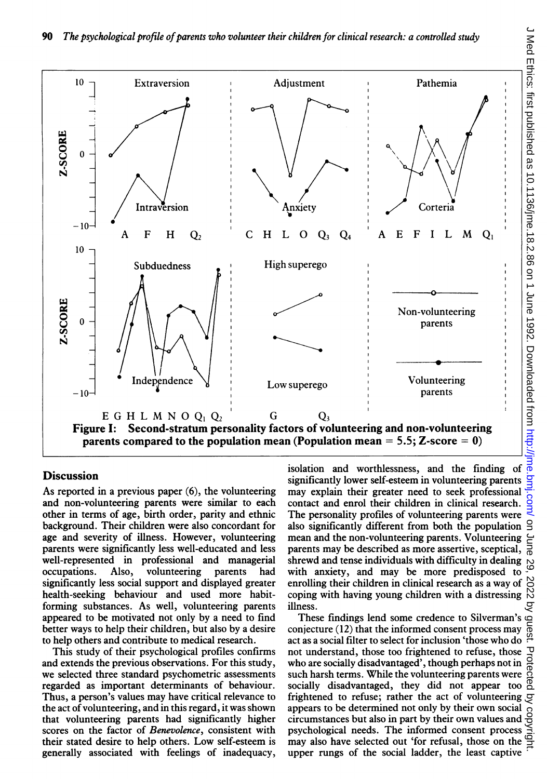

and non-volunteering parents were similar to each other in terms of age, birth order, parity and ethnic background. Their children were also concordant for age and severity of illness. However, volunteering parents were significantly less well-educated and less well-represented in professional and managerial occupations. Also, volunteering parents had significantly less social support and displayed greater health-seeking behaviour and used more habitforming substances. As well, volunteering parents appeared to be motivated not only by a need to find better ways to help their children, but also by a desire to help others and contribute to medical research.

ez<br>K  $\sum_{\alpha}$  0

 $10$ 

 $-10$ 

This study of their psychological profiles confirms and extends the previous observations. For this study, we selected three standard psychometric assessments regarded as important determinants of behaviour. Thus, a person's values may have critical relevance to the act of volunteering, and in this regard, it was shown that volunteering parents had significantly higher scores on the factor of *Benevolence*, consistent with their stated desire to help others. Low self-esteem is generally associated with feelings of inadequacy,

contact and enrol their children in clinical research. The personality profiles of volunteering parents were also significantly different from both the population  $\frac{9}{2}$ mean and the non-volunteering parents. Volunteering parents may be described as more assertive, sceptical, shrewd and tense individuals with difficulty in dealing with anxiety, and may be more predisposed to enrolling their children in clinical research as a way of coping with having young children with a distressing

illness. These findings lend some credence to Silverman's conjecture (12) that the informed consent process may act as a social filter to select for inclusion 'those who do not understand, those too frightened to refuse, those who are socially disadvantaged', though perhaps not in  $\alpha$ such harsh terms. While the volunteering parents were  $\frac{\sigma}{\Omega}$ socially disadvantaged, they did not appear too  $\beta$ frightened to refuse; rather the act of volunteering  $\sigma$ appears to be determined not only by their own social appears to be determined not only by their own social  $\frac{1}{2}$  circumstances but also in part by their own values and  $\frac{1}{2}$ psychological needs. The informed consent process  $\leq$ may also have selected out 'for refusal, those on the  $\mathfrak{S}$ upper rungs of the social ladder, the least captive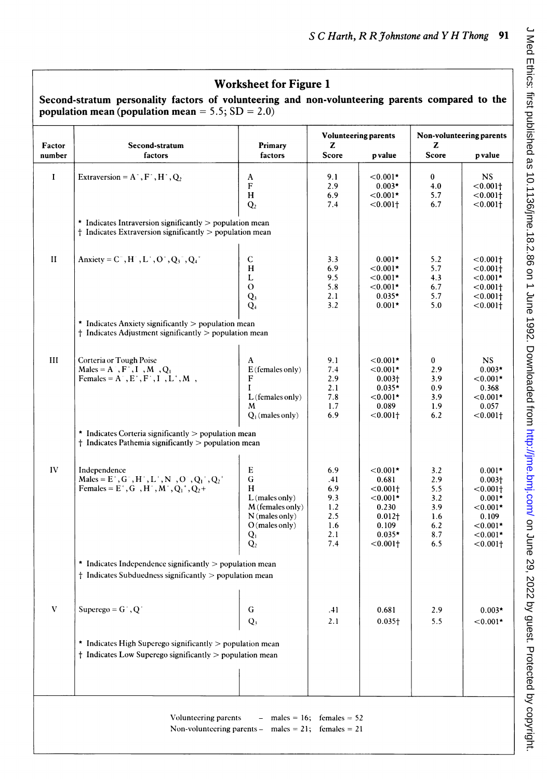#### Worksheet for Figure <sup>1</sup> Second-stratum personality factors of volunteering and non-volunteering parents compared to the population mean (population mean  $= 5.5$ ;  $SD = 2.0$ ) Volunteering parents Non-volunteering parents<br>Z<br>Z Factor Second-stratum Rimary Z Z number | factors | factors | Score p value | Score p value  $\mathbf{I}$ Extraversion =  $A^{\dagger}, F^{\dagger}, H^{\dagger}, Q$ ,  $A$ 9.1  $< 0.001*$ 0 NS F 0.003\*  $< 0.001$ <sup>+</sup> 2.9 4.0 H 6.9  $< 0.001*$ 5.7  $< 0.001$ t 7.4  $< 0.001 +$  $Q<sub>2</sub>$  $< 0.001 +$ 6.7 \* Indicates Intraversion significantly > population mean <sup>t</sup> Indicates Extraversion significantly > population mean II Anxiety =  $C^-, H^-, L^-, O^-, Q_3^-, Q_4^+$  C 3.3  $0.001*$ 5.2  $< 0.001$ <sup>+</sup> H 6.9  $< 0.001*$ 5.7  $< 0.001 +$ L 9.5  $< 0.001*$ 4.3  $< 0.001*$  $\Omega$ 5.8  $< 0.001*$  $< 0.001$ t 6.7  $Q<sub>3</sub>$ 2.1 0.035\* 5.7  $< 0.001$ <sup>+</sup>  $\rm Q_4$ 3.2  $0.001*$ 5.0  $< 0.001$ <sup>+</sup> \* Indicates Anxiety significantly > population mean  $\dagger$  Indicates Adjustment significantly  $>$  population mean III Corteria or Tough Poise  $A \cap A$ <br>
Males =  $A \cap F \cap I \cap M \cap O$ 9.1  $< 0.001*$ NS 0  $< 0.001*$ 0.003\* Males = A  $^{\circ}$ , F  $^{\circ}$ , I , M , Q<sub>1</sub> E (Females = A  $^{\circ}$  E  $^{\circ}$  E (Females only) 7.4 2.9 Females =  $A^{-}$ ,  $E^{+}$ ,  $F^{-}$ ,  $I^{-}$ ,  $L^{+}$ ,  $M^{-}$ , 2.9 0.003t 3.9  $< 0.001*$ I 2.1 0.035\* 0.9 0.368 L (females only) 7.8  $< 0.001*$ 3.9  $< 0.001*$ 1.7 0.089 1.9 0.057 M Q, (males only) 6.9  $< 0.001 +$ 6.2  $< 0.001 +$  $*$  Indicates Corteria significantly  $>$  population mean <sup>t</sup> Indicates Pathemia significantly > population mean Iv Independence E 6.9  $< 0.001*$ 0.001\* 3.2  $Males = E^+, G^-, H^+, L^+, N^-, O^-, Q_1^+, Q_2^+$ G .41 0.681 2.9 0.003t Females =  $E^+, G^-, H^+, M^+, Q_1^+, Q_2^+$ H 6.9  $< 0.001 +$ 5.5  $< 0.001 +$ 9.3  $< 0.001*$ L (males only) 3.2 0.001\* M (females only) 1.2 0.230 3.9  $< 0.001*$ N (males only) 2.5 0.012t 1.6 0.109 0 (males only) 1.6 0.109  $< 0.001*$ 6.2 0.035\*  $Q<sub>1</sub>$ 2.1 8.7  $< 0.001*$  $Q<sub>2</sub>$ 7.4  $< 0.001 +$ 6.5  $< 0.001 +$  $*$  Indicates Independence significantly  $>$  population mean  $\dagger$  Indicates Subduedness significantly  $>$  population mean  $\overline{\mathbf{V}}$ 0.003\*  $\text{Superge} = G', Q'$  G .41 0.681 2.9  $Q<sub>3</sub>$ 2.1 0.035t 5.5  $< 0.001*$ \* Indicates High Superego significantly > population mean <sup>t</sup> Indicates Low Superego significantly > population mean Volunteering parents  $-$  males = 16; females = 52 Non-volunteering parents - males  $= 21$ ; females  $= 21$

J Med Ethics: first published as 10.11136/jme.18.2.86 on 1 June 1992. Downloaded from http://jme.bmj.com/on bmne 29, 2022 by guest. Protected by copyright J Med Ethics: first published as 10.1136/jme.18.2.86 on 1 June 1992. Downloaded from <http://jme.bmj.com/> on June 29, 2022 by guest. Protected by copyright.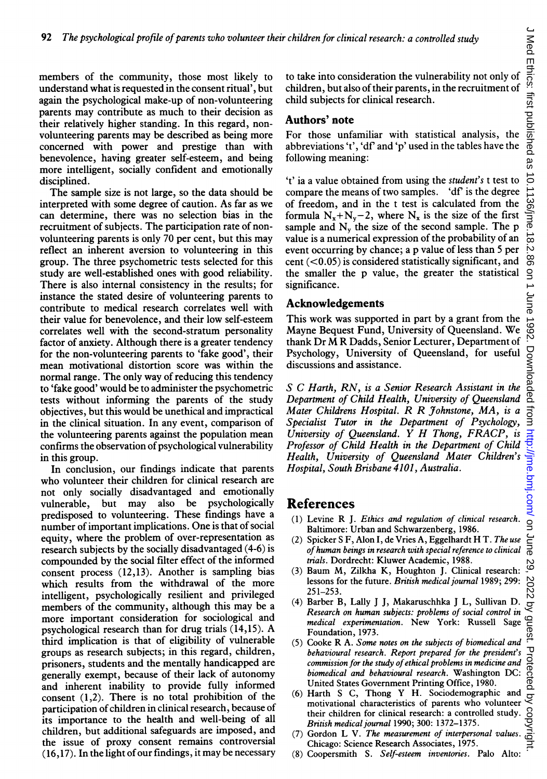members of the community, those most likely to understand what is requested in the consent ritual', but again the psychological make-up of non-volunteering parents may contribute as much to their decision as their relatively higher standing. In this regard, nonvolunteering parents may be described as being more concerned with power and prestige than with benevolence, having greater self-esteem, and being more intelligent, socially confident and emotionally disciplined.

The sample size is not large, so the data should be interpreted with some degree of caution. As far as we can determine, there was no selection bias in the recruitment of subjects. The participation rate of nonvolunteering parents is only 70 per cent, but this may reflect an inherent aversion to volunteering in this group. The three psychometric tests selected for this study are well-established ones with good reliability. There is also internal consistency in the results; for instance the stated desire of volunteering parents to contribute to medical research correlates well with their value for benevolence, and their low self-esteem correlates well with the second-stratum personality factor of anxiety. Although there is a greater tendency for the non-volunteering parents to 'fake good', their mean motivational distortion score was within the normal range. The only way of reducing this tendency to 'fake good' would be to administer the psychometric tests without informing the parents of the study objectives, but this would be unethical and impractical in the clinical situation. In any event, comparison of the volunteering parents against the population mean confirms the observation of psychological vulnerability in this group.

In conclusion, our findings indicate that parents who volunteer their children for clinical research are not only socially disadvantaged and emotionally vulnerable, but may also be psychologically predisposed to volunteering. These findings have a number of important implications. One is that of social equity, where the problem of over-representation as research subjects by the socially disadvantaged (4-6) is compounded by the social filter effect of the informed consent process (12,13). Another is sampling bias which results from the withdrawal of the more intelligent, psychologically resilient and privileged members of the community, although this may be <sup>a</sup> more important consideration for sociological and psychological research than for drug trials (14,15). A third implication is that of eligibility of vulnerable groups as research subjects; in this regard, children, prisoners, students and the mentally handicapped are generally exempt, because of their lack of autonomy and inherent inability to provide fully informed consent (1,2). There is no total prohibition of the participation of children in clinical research, because of its importance to the health and well-being of all children, but additional safeguards are imposed, and the issue of proxy consent remains controversial  $(16,17)$ . In the light of our findings, it may be necessary to take into consideration the vulnerability not only of children, but also of their parents, in the recruitment of child subjects for clinical research.

#### Authors' note

For those unfamiliar with statistical analysis, the abbreviations 't', 'df' and 'p' used in the tables have the following meaning:

't' ia a value obtained from using the *student*'s t test to compare the means of two samples. 'df' is the degree of freedom, and in the <sup>t</sup> test is calculated from the formula  $N_x + N_y - 2$ , where  $N_x$  is the size of the first sample and  $N<sub>v</sub>$  the size of the second sample. The p value is a numerical expression of the probability of an event occurring by chance; a p value of less than <sup>5</sup> per cent  $(<0.05$ ) is considered statistically significant, and the smaller the p value, the greater the statistical significance.

#### Acknowledgements

This work was supported in part by a grant from the Mayne Bequest Fund, University of Queensland. We thank Dr MR Dadds, Senior Lecturer, Department of Psychology, University of Queensland, for useful discussions and assistance.

S C Harth, RN, is <sup>a</sup> Senior Research Assistant in the Department of Child Health, University of Queensland Mater Childrens Hospital. R R 7ohnstone, MA, is <sup>a</sup> Specialist Tutor in the Department of Psychology, University of Queensland. Y H Thong, FRACP, is Professor of Child Health in the Department of Child Health, University of Queensland Mater Children's Hospital, South Brisbane 4101, Australia.

#### References

- (1) Levine R J. Ethics and regulation of clinical research. Baltimore: Urban and Schwarzenberg, 1986.
- (2) Spicker S F, Alon I, de Vries A, Eggelhardt H T. The use ofhuman beings in research with special reference to clinical trials. Dordrecht: Kluwer Academic, 1988.
- (3) Baum M, Zilkha K, Houghton J. Clinical research: lessons for the future. British medical journal 1989; 299: 251-253.
- (4) Barber B, Lally J J, Makaruschhka J L, Sullivan D. Research on human subjects: problems of social control in medical experimentation. New York: Russell Sage Foundation, 1973.
- (5) Cooke R A. Some notes on the subjects of biomedical and behavioural research. Report prepared for the president's commission for the study of ethical problems in medicine and biomedical and behavioural research. Washington DC: United States Government Printing Office, 1980.
- (6) Harth <sup>S</sup> C, Thong Y H. Sociodemographic and motivational characteristics of parents who volunteer their children for clinical research: a controlled study. British medical journal 1990; 300: 1372-1375.
- (7) Gordon L V. The measurement of interpersonal values. Chicago: Science Research Associates, 1975.
- (8) Coopersmith S. Self-esteem inventories. Palo Alto: